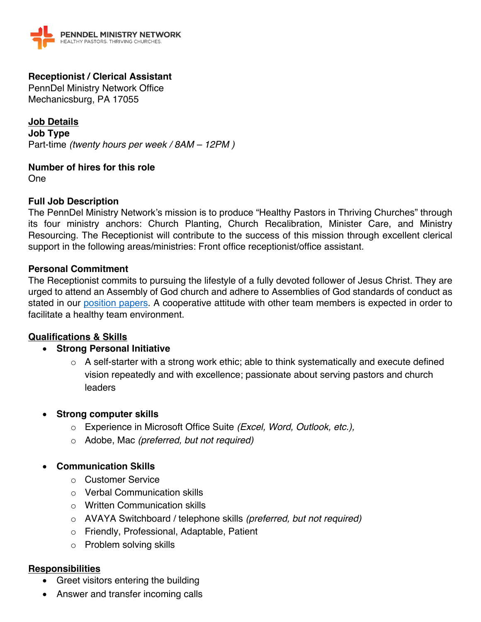

## **Receptionist / Clerical Assistant**

PennDel Ministry Network Office Mechanicsburg, PA 17055

**Job Details Job Type** Part-time *(twenty hours per week / 8AM – 12PM )*

**Number of hires for this role** One

### **Full Job Description**

The PennDel Ministry Network's mission is to produce "Healthy Pastors in Thriving Churches" through its four ministry anchors: Church Planting, Church Recalibration, Minister Care, and Ministry Resourcing. The Receptionist will contribute to the success of this mission through excellent clerical support in the following areas/ministries: Front office receptionist/office assistant.

#### **Personal Commitment**

The Receptionist commits to pursuing the lifestyle of a fully devoted follower of Jesus Christ. They are urged to attend an Assembly of God church and adhere to Assemblies of God standards of conduct as stated in our position papers. A cooperative attitude with other team members is expected in order to facilitate a healthy team environment.

#### **Qualifications & Skills**

### • **Strong Personal Initiative**

- o A self-starter with a strong work ethic; able to think systematically and execute defined vision repeatedly and with excellence; passionate about serving pastors and church leaders
- **Strong computer skills**
	- o Experience in Microsoft Office Suite *(Excel, Word, Outlook, etc.),*
	- o Adobe, Mac *(preferred, but not required)*

### • **Communication Skills**

- o Customer Service
- o Verbal Communication skills
- o Written Communication skills
- o AVAYA Switchboard / telephone skills *(preferred, but not required)*
- o Friendly, Professional, Adaptable, Patient
- o Problem solving skills

#### **Responsibilities**

- Greet visitors entering the building
- Answer and transfer incoming calls